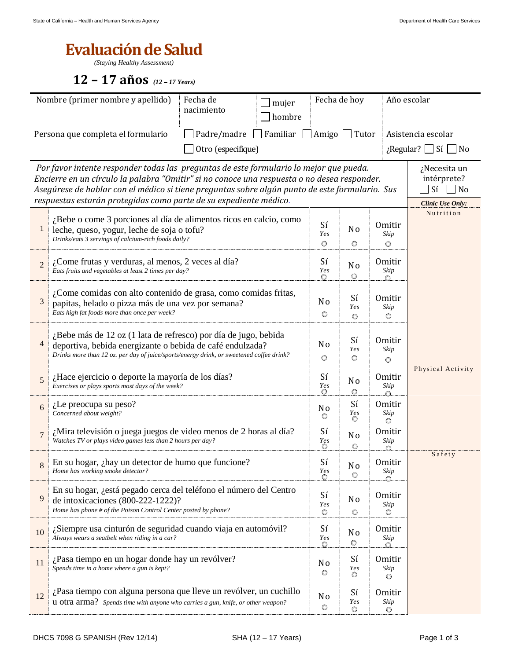## **Evaluación de Salud**

*(Staying Healthy Assessment)*

## **12 – 17 años** *(12 – 17 Years)*

|                                                                                                                                                                                                                                                                                                                                                                                                                                                  | Nombre (primer nombre y apellido)                                                                                                                                                                                        | Fecha de hoy<br>Fecha de<br>mujer<br>nacimiento<br>hombre     |                                |                                     |                                      | Año escolar                         |        |
|--------------------------------------------------------------------------------------------------------------------------------------------------------------------------------------------------------------------------------------------------------------------------------------------------------------------------------------------------------------------------------------------------------------------------------------------------|--------------------------------------------------------------------------------------------------------------------------------------------------------------------------------------------------------------------------|---------------------------------------------------------------|--------------------------------|-------------------------------------|--------------------------------------|-------------------------------------|--------|
|                                                                                                                                                                                                                                                                                                                                                                                                                                                  | Persona que completa el formulario                                                                                                                                                                                       | $\mathbin{\rbrack}$ Familiar<br>Padre/madre<br>Tutor<br>Amigo |                                |                                     |                                      | Asistencia escolar                  |        |
| Otro (especifique)<br>$\chi$ Regular? $\Box$ Sí                                                                                                                                                                                                                                                                                                                                                                                                  |                                                                                                                                                                                                                          |                                                               |                                |                                     |                                      | $ $ No                              |        |
| Por favor intente responder todas las preguntas de este formulario lo mejor que pueda.<br>¿Necesita un<br>Encierre en un círculo la palabra "Omitir" si no conoce una respuesta o no desea responder.<br>intérprete?<br>Asegúrese de hablar con el médico si tiene preguntas sobre algún punto de este formulario. Sus<br>$\exists$ Sí $\Box$ No<br>respuestas estarán protegidas como parte de su expediente médico.<br><b>Clinic Use Only:</b> |                                                                                                                                                                                                                          |                                                               |                                |                                     |                                      |                                     |        |
| 1                                                                                                                                                                                                                                                                                                                                                                                                                                                | ¿Bebe o come 3 porciones al día de alimentos ricos en calcio, como<br>leche, queso, yogur, leche de soja o tofu?<br>Drinks/eats 3 servings of calcium-rich foods daily?                                                  | Sí<br><b>Yes</b><br>$\bigcirc$                                | N <sub>o</sub><br>$\bigcirc$   | <b>Omitir</b><br>Skip<br>Ô          | Nutrition                            |                                     |        |
| $\overline{2}$                                                                                                                                                                                                                                                                                                                                                                                                                                   | ¿Come frutas y verduras, al menos, 2 veces al día?<br>Eats fruits and vegetables at least 2 times per day?                                                                                                               | Sí<br><b>Yes</b><br>0                                         | N <sub>0</sub><br>$\bigcirc$   | <b>Omitir</b><br>Skip               |                                      |                                     |        |
| 3                                                                                                                                                                                                                                                                                                                                                                                                                                                | ¿Come comidas con alto contenido de grasa, como comidas fritas,<br>papitas, helado o pizza más de una vez por semana?<br>Eats high fat foods more than once per week?                                                    | N <sub>0</sub><br>$\bigcirc$                                  | Sí<br><b>Yes</b><br>$\bigcirc$ | Omitir<br>Skip<br>O                 |                                      |                                     |        |
| 4                                                                                                                                                                                                                                                                                                                                                                                                                                                | ¿Bebe más de 12 oz (1 lata de refresco) por día de jugo, bebida<br>deportiva, bebida energizante o bebida de café endulzada?<br>Drinks more than 12 oz. per day of juice/sports/energy drink, or sweetened coffee drink? | N <sub>0</sub><br>$\bigcirc$                                  | Sí<br><b>Yes</b><br>$\bigcirc$ | <b>Omitir</b><br>Skip<br>$\bigcirc$ |                                      |                                     |        |
| 5                                                                                                                                                                                                                                                                                                                                                                                                                                                | ¿Hace ejercicio o deporte la mayoría de los días?<br>Exercises or plays sports most days of the week?                                                                                                                    | Sí<br><b>Yes</b><br>⊙                                         | N <sub>o</sub><br>$\bigcirc$   | <b>Omitir</b><br>Skip<br>Ć.         | Physical Activity                    |                                     |        |
| 6                                                                                                                                                                                                                                                                                                                                                                                                                                                | $i$ Le preocupa su peso?<br>Concerned about weight?                                                                                                                                                                      |                                                               |                                |                                     | Sí<br><b>Yes</b>                     | <b>Omitir</b><br>Skip               |        |
| $\overline{7}$                                                                                                                                                                                                                                                                                                                                                                                                                                   | ¿Mira televisión o juega juegos de video menos de 2 horas al día?<br>Watches TV or plays video games less than 2 hours per day?                                                                                          | Sí<br>Yes<br>-0                                               | N <sub>o</sub><br>$\bigcirc$   | <b>Omitir</b><br>Skip               |                                      |                                     |        |
|                                                                                                                                                                                                                                                                                                                                                                                                                                                  | 8 En su hogar, ¿hay un detector de humo que funcione?<br>Home has working smoke detector?                                                                                                                                |                                                               |                                | Sí<br><i>Yes</i><br>O               | N <sub>o</sub><br>$\binom{m}{2}$     | <b>Omitir</b><br>Skip               | Safety |
| 9                                                                                                                                                                                                                                                                                                                                                                                                                                                | En su hogar, ¿está pegado cerca del teléfono el número del Centro<br>de intoxicaciones (800-222-1222)?<br>Home has phone # of the Poison Control Center posted by phone?                                                 |                                                               |                                |                                     | N <sub>o</sub><br>$\bigcirc$         | <b>Omitir</b><br>Skip<br>$\bigcirc$ |        |
| 10                                                                                                                                                                                                                                                                                                                                                                                                                                               | ¿Siempre usa cinturón de seguridad cuando viaja en automóvil?<br>Always wears a seatbelt when riding in a car?                                                                                                           |                                                               |                                |                                     | N <sub>o</sub><br>$\circlearrowleft$ | <b>Omitir</b><br>Skip               |        |
| 11                                                                                                                                                                                                                                                                                                                                                                                                                                               | ¿Pasa tiempo en un hogar donde hay un revólver?<br>Spends time in a home where a gun is kept?                                                                                                                            |                                                               |                                |                                     | Sí<br><b>Yes</b><br>O                | <b>Omitir</b><br>Skip<br>$\alpha$ . |        |
| 12                                                                                                                                                                                                                                                                                                                                                                                                                                               | ¿Pasa tiempo con alguna persona que lleve un revólver, un cuchillo<br>u otra arma? Spends time with anyone who carries a gun, knife, or other weapon?                                                                    |                                                               |                                |                                     | Sí<br><b>Yes</b><br>$\bigcirc$       | <b>Omitir</b><br>Skip<br>$\bigcirc$ |        |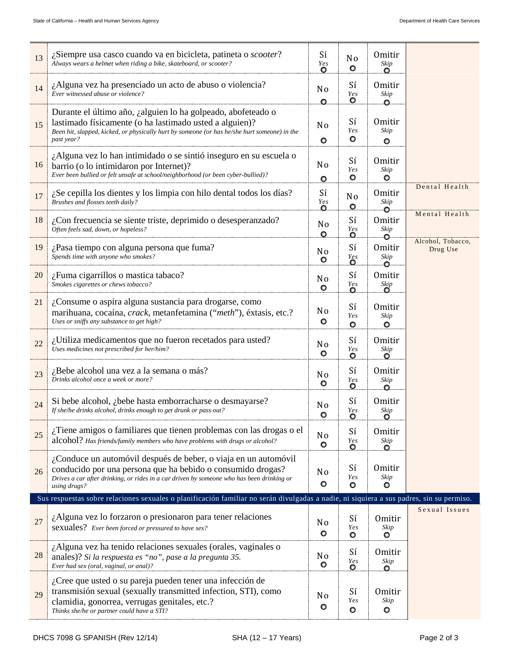| 13 | ¿Siempre usa casco cuando va en bicicleta, patineta o <i>scooter</i> ?<br>Always wears a helmet when riding a bike, skateboard, or scooter?                                                                                                 | Sí<br>Yes<br>O            | N <sub>o</sub><br>$\circ$ | <b>Omitir</b><br>Skip<br>O        |                               |
|----|---------------------------------------------------------------------------------------------------------------------------------------------------------------------------------------------------------------------------------------------|---------------------------|---------------------------|-----------------------------------|-------------------------------|
| 14 | $\lambda$ Alguna vez ha presenciado un acto de abuso o violencia?<br>Ever witnessed abuse or violence?                                                                                                                                      | N <sub>0</sub><br>o       | Sí<br>Ye s<br>o           | <b>Omitir</b><br>Skip<br>o        |                               |
| 15 | Durante el último año, ¿alguien lo ha golpeado, abofeteado o<br>lastimado físicamente (o ha lastimado usted a alguien)?<br>Been hit, slapped, kicked, or physically hurt by someone (or has he/she hurt someone) in the<br>past year?       | N <sub>o</sub><br>O       | Sí<br>Yes<br>O            | <b>Omitir</b><br>Skip<br>$\circ$  |                               |
| 16 | ¿Alguna vez lo han intimidado o se sintió inseguro en su escuela o<br>barrio (o lo intimidaron por Internet)?<br>Ever been bullied or felt unsafe at school/neighborhood (or been cyber-bullied)?                                           | N <sub>0</sub><br>O       | Sí<br>Yes<br>o            | <b>Omitir</b><br>Skip<br>$\circ$  |                               |
| 17 | $i$ Se cepilla los dientes y los limpia con hilo dental todos los días?<br>Brushes and flosses teeth daily?                                                                                                                                 | Sí<br>Yes                 | N <sub>o</sub><br>$\circ$ | <b>Omitir</b><br>Skip<br>O        | Dental Health                 |
| 18 | $\lambda$ Con frecuencia se siente triste, deprimido o desesperanzado?<br>Often feels sad, down, or hopeless?                                                                                                                               | No<br>$\circ$             | Sí<br><b>Yes</b><br>Ο.    | Omitir<br>Skip                    | Mental Health                 |
| 19 | ¿Pasa tiempo con alguna persona que fuma?<br>Spends time with anyone who smokes?                                                                                                                                                            | N <sub>0</sub><br>O       | Sí<br>Yes<br>O            | <b>Omitir</b><br>Skip<br>Ō        | Alcohol, Tobacco,<br>Drug Use |
| 20 | $\lambda$ . Fuma cigarrillos o mastica tabaco?<br>Smokes cigarettes or chews tobacco?                                                                                                                                                       | N <sub>0</sub><br>O       | Sí<br><i>Yes</i><br>O.    | <b>Omitir</b><br>Skip             |                               |
| 21 | ¿Consume o aspira alguna sustancia para drogarse, como<br>marihuana, cocaína, <i>crack</i> , metanfetamina ("meth"), éxtasis, etc.?<br>Uses or sniffs any substance to get high?                                                            | N <sub>0</sub><br>O       | Sí<br>Ye s<br>O           | <b>Omitir</b><br>Skip<br>$\circ$  |                               |
| 22 | ¿Utiliza medicamentos que no fueron recetados para usted?<br>Uses medicines not prescribed for her/him?                                                                                                                                     | N <sub>0</sub><br>O       | Sí<br>Ye s<br>o           | <b>Omitir</b><br>$\it{skip}$<br>O |                               |
| 23 | ¿Bebe alcohol una vez a la semana o más?<br>Drinks alcohol once a week or more?                                                                                                                                                             | N <sub>0</sub><br>O       | Sí<br>Ye s<br>O           | <b>Omitir</b><br>Skip<br>o        |                               |
| 24 | Si bebe alcohol, <i>i</i> bebe hasta emborracharse o desmayarse?<br>If she/he drinks alcohol, drinks enough to get drunk or pass out?                                                                                                       | N <sub>0</sub>            | Sí<br>Yes<br>Q            | Omitir<br>Skip<br>Q               |                               |
| 25 | ¿Tiene amigos o familiares que tienen problemas con las drogas o el<br>alcohol? Has friends/family members who have problems with drugs or alcohol?                                                                                         | N <sub>0</sub><br>$\circ$ | Sí<br>Ye s<br>O           | <b>Omitir</b><br>Skip<br>O        |                               |
| 26 | ¿Conduce un automóvil después de beber, o viaja en un automóvil<br>conducido por una persona que ha bebido o consumido drogas?<br>Drives a car after drinking, or rides in a car driven by someone who has been drinking or<br>using drugs? | N <sub>o</sub><br>O       | Sí<br>Ye s<br>O           | <b>Omitir</b><br>Skip<br>o        |                               |
|    | Sus respuestas sobre relaciones sexuales o planificación familiar no serán divulgadas a nadie, ni siquiera a sus padres, sin su permiso.                                                                                                    |                           |                           |                                   |                               |
| 27 | ¿Alguna vez lo forzaron o presionaron para tener relaciones<br>sexuales? Ever been forced or pressured to have sex?                                                                                                                         | N <sub>0</sub><br>O       | Sí<br>Yes<br>O            | Omitir<br>Skip<br>O               | Sexual Issues                 |
| 28 | ¿Alguna vez ha tenido relaciones sexuales (orales, vaginales o<br>anales)? Si la respuesta es "no", pase a la pregunta 35.<br>Ever had sex (oral, vaginal, or anal)?                                                                        | N <sub>0</sub><br>O       | Sí<br>Yes<br>O            | Omitir<br>Skip<br>O               |                               |
| 29 | $i$ Cree que usted o su pareja pueden tener una infección de<br>transmisión sexual (sexually transmitted infection, STI), como<br>clamidia, gonorrea, verrugas genitales, etc.?<br>Thinks she/he or partner could have a STI?               | N <sub>0</sub><br>O       | Sí<br>Yes<br>O            | Omitir<br>Skip<br>O               |                               |